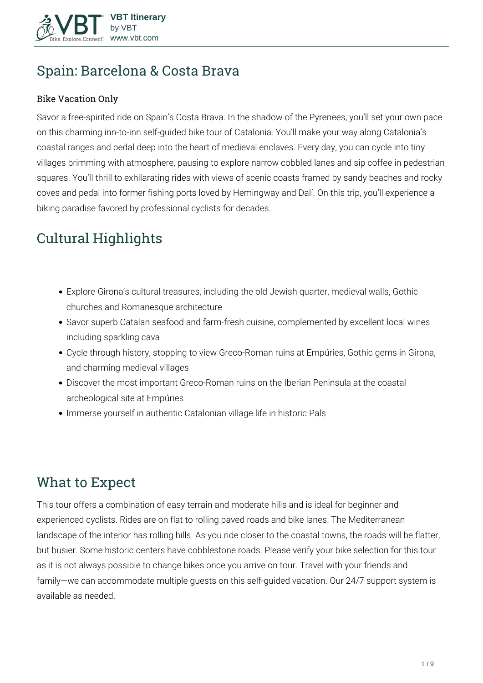

# **Spain: Barcelona & Costa Brava**

#### Bike Vacation Only

Savor a free-spirited ride on Spain's Costa Brava. In the shadow of the Pyrenees, you'll set your own pace on this charming inn-to-inn self-guided bike tour of Catalonia. You'll make your way along Catalonia's coastal ranges and pedal deep into the heart of medieval enclaves. Every day, you can cycle into tiny villages brimming with atmosphere, pausing to explore narrow cobbled lanes and sip coffee in pedestrian squares. You'll thrill to exhilarating rides with views of scenic coasts framed by sandy beaches and rocky coves and pedal into former fishing ports loved by Hemingway and Dalí. On this trip, you'll experience a biking paradise favored by professional cyclists for decades.

# **Cultural Highlights**

- Explore Girona's cultural treasures, including the old Jewish quarter, medieval walls, Gothic churches and Romanesque architecture
- Savor superb Catalan seafood and farm-fresh cuisine, complemented by excellent local wines including sparkling cava
- Cycle through history, stopping to view Greco-Roman ruins at Empúries, Gothic gems in Girona, and charming medieval villages
- Discover the most important Greco-Roman ruins on the Iberian Peninsula at the coastal archeological site at Empúries
- Immerse yourself in authentic Catalonian village life in historic Pals

# **What to Expect**

This tour offers a combination of easy terrain and moderate hills and is ideal for beginner and experienced cyclists. Rides are on flat to rolling paved roads and bike lanes. The Mediterranean landscape of the interior has rolling hills. As you ride closer to the coastal towns, the roads will be flatter, but busier. Some historic centers have cobblestone roads. Please verify your bike selection for this tour as it is not always possible to change bikes once you arrive on tour. Travel with your friends and family—we can accommodate multiple guests on this self-guided vacation. Our 24/7 support system is available as needed.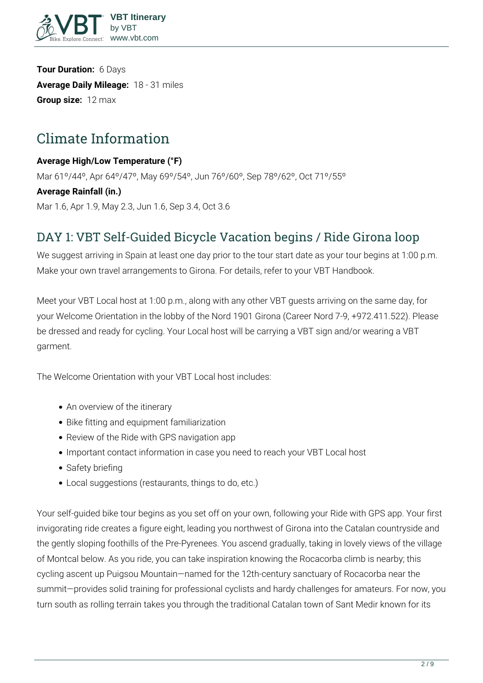

**Tour Duration:** 6 Days **Average Daily Mileage:** 18 - 31 miles **Group size:** 12 max

# **Climate Information**

#### **Average High/Low Temperature (°F)**

Mar 61º/44º, Apr 64º/47º, May 69º/54º, Jun 76º/60º, Sep 78º/62º, Oct 71º/55º

#### **Average Rainfall (in.)**

Mar 1.6, Apr 1.9, May 2.3, Jun 1.6, Sep 3.4, Oct 3.6

## **DAY 1: VBT Self-Guided Bicycle Vacation begins / Ride Girona loop**

We suggest arriving in Spain at least one day prior to the tour start date as your tour begins at 1:00 p.m. Make your own travel arrangements to Girona. For details, refer to your VBT Handbook.

Meet your VBT Local host at 1:00 p.m., along with any other VBT guests arriving on the same day, for your Welcome Orientation in the lobby of the Nord 1901 Girona (Career Nord 7-9, +972.411.522). Please be dressed and ready for cycling. Your Local host will be carrying a VBT sign and/or wearing a VBT garment.

The Welcome Orientation with your VBT Local host includes:

- An overview of the itinerary
- Bike fitting and equipment familiarization
- Review of the Ride with GPS navigation app
- Important contact information in case you need to reach your VBT Local host
- Safety briefing
- Local suggestions (restaurants, things to do, etc.)

Your self-guided bike tour begins as you set off on your own, following your Ride with GPS app. Your first invigorating ride creates a figure eight, leading you northwest of Girona into the Catalan countryside and the gently sloping foothills of the Pre-Pyrenees. You ascend gradually, taking in lovely views of the village of Montcal below. As you ride, you can take inspiration knowing the Rocacorba climb is nearby; this cycling ascent up Puigsou Mountain—named for the 12th-century sanctuary of Rocacorba near the summit—provides solid training for professional cyclists and hardy challenges for amateurs. For now, you turn south as rolling terrain takes you through the traditional Catalan town of Sant Medir known for its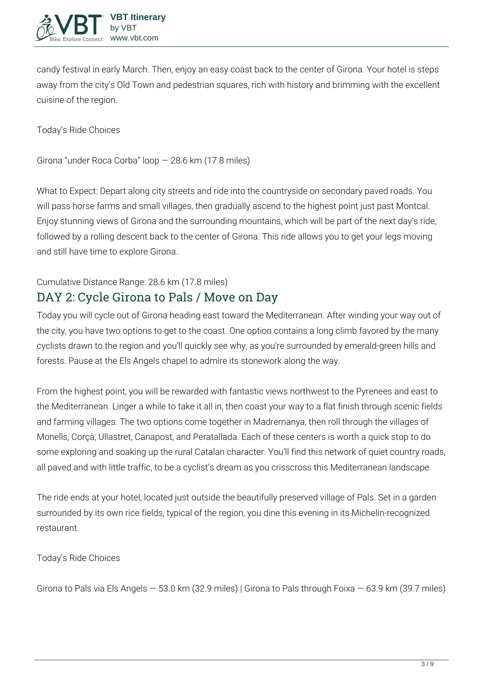

candy festival in early March. Then, enjoy an easy coast back to the center of Girona. Your hotel is steps away from the city's Old Town and pedestrian squares, rich with history and brimming with the excellent cuisine of the region.

**Today's Ride Choices**

Girona "under Roca Corba" loop — 28.6 km (17.8 miles)

**What to Expect:** Depart along city streets and ride into the countryside on secondary paved roads. You will pass horse farms and small villages, then gradually ascend to the highest point just past Montcal. Enjoy stunning views of Girona and the surrounding mountains, which will be part of the next day's ride, followed by a rolling descent back to the center of Girona. This ride allows you to get your legs moving and still have time to explore Girona.

## **Cumulative Distance Range:** 28.6 km (17.8 miles) **DAY 2: Cycle Girona to Pals / Move on Day**

Today you will cycle out of Girona heading east toward the Mediterranean. After winding your way out of the city, you have two options to get to the coast. One option contains a long climb favored by the many cyclists drawn to the region and you'll quickly see why, as you're surrounded by emerald-green hills and forests. Pause at the Els Angels chapel to admire its stonework along the way.

From the highest point, you will be rewarded with fantastic views northwest to the Pyrenees and east to the Mediterranean. Linger a while to take it all in, then coast your way to a flat finish through scenic fields and farming villages. The two options come together in Madremanya, then roll through the villages of Monells, Corçà, Ullastret, Canapost, and Peratallada. Each of these centers is worth a quick stop to do some exploring and soaking up the rural Catalan character. You'll find this network of quiet country roads, all paved and with little traffic, to be a cyclist's dream as you crisscross this Mediterranean landscape.

The ride ends at your hotel, located just outside the beautifully preserved village of Pals. Set in a garden surrounded by its own rice fields, typical of the region, you dine this evening in its Michelin-recognized restaurant.

**Today's Ride Choices**

Girona to Pals via Els Angels — 53.0 km (32.9 miles) | Girona to Pals through Foixa — 63.9 km (39.7 miles)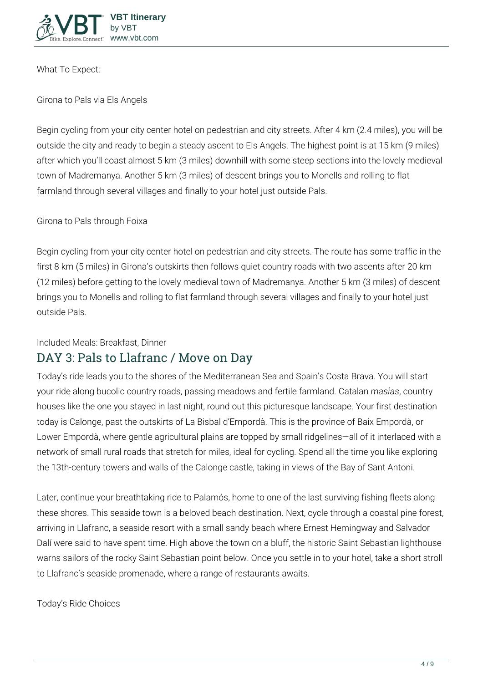

**What To Expect:**

**Girona to Pals via Els Angels**

Begin cycling from your city center hotel on pedestrian and city streets. After 4 km (2.4 miles), you will be outside the city and ready to begin a steady ascent to Els Angels. The highest point is at 15 km (9 miles) after which you'll coast almost 5 km (3 miles) downhill with some steep sections into the lovely medieval town of Madremanya. Another 5 km (3 miles) of descent brings you to Monells and rolling to flat farmland through several villages and finally to your hotel just outside Pals.

**Girona to Pals through Foixa** 

Begin cycling from your city center hotel on pedestrian and city streets. The route has some traffic in the first 8 km (5 miles) in Girona's outskirts then follows quiet country roads with two ascents after 20 km (12 miles) before getting to the lovely medieval town of Madremanya. Another 5 km (3 miles) of descent brings you to Monells and rolling to flat farmland through several villages and finally to your hotel just outside Pals.

#### **Included Meals:** Breakfast, Dinner

## **DAY 3: Pals to Llafranc / Move on Day**

Today's ride leads you to the shores of the Mediterranean Sea and Spain's Costa Brava. You will start your ride along bucolic country roads, passing meadows and fertile farmland. Catalan *masias*, country houses like the one you stayed in last night, round out this picturesque landscape. Your first destination today is Calonge, past the outskirts of La Bisbal d'Empordà. This is the province of Baix Empordà, or Lower Empordà, where gentle agricultural plains are topped by small ridgelines—all of it interlaced with a network of small rural roads that stretch for miles, ideal for cycling. Spend all the time you like exploring the 13th-century towers and walls of the Calonge castle, taking in views of the Bay of Sant Antoni.

Later, continue your breathtaking ride to Palamós, home to one of the last surviving fishing fleets along these shores. This seaside town is a beloved beach destination. Next, cycle through a coastal pine forest, arriving in Llafranc, a seaside resort with a small sandy beach where Ernest Hemingway and Salvador Dalí were said to have spent time. High above the town on a bluff, the historic Saint Sebastian lighthouse warns sailors of the rocky Saint Sebastian point below. Once you settle in to your hotel, take a short stroll to Llafranc's seaside promenade, where a range of restaurants awaits.

**Today's Ride Choices**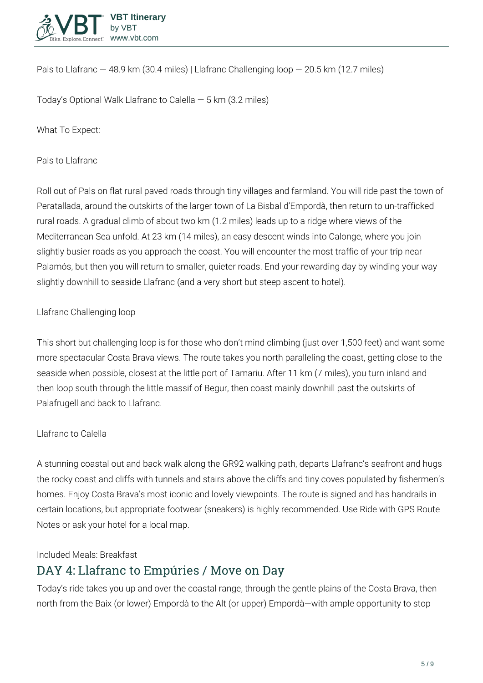

Pals to Llafranc  $-48.9$  km (30.4 miles) | Llafranc Challenging loop  $-20.5$  km (12.7 miles)

**Today's Optional Walk** Llafranc to Calella — 5 km (3.2 miles)

**What To Expect:**

**Pals to Llafranc** 

Roll out of Pals on flat rural paved roads through tiny villages and farmland. You will ride past the town of Peratallada, around the outskirts of the larger town of La Bisbal d'Empordà, then return to un-trafficked rural roads. A gradual climb of about two km (1.2 miles) leads up to a ridge where views of the Mediterranean Sea unfold. At 23 km (14 miles), an easy descent winds into Calonge, where you join slightly busier roads as you approach the coast. You will encounter the most traffic of your trip near Palamós, but then you will return to smaller, quieter roads. End your rewarding day by winding your way slightly downhill to seaside Llafranc (and a very short but steep ascent to hotel).

#### **Llafranc Challenging loop**

This short but challenging loop is for those who don't mind climbing (just over 1,500 feet) and want some more spectacular Costa Brava views. The route takes you north paralleling the coast, getting close to the seaside when possible, closest at the little port of Tamariu. After 11 km (7 miles), you turn inland and then loop south through the little massif of Begur, then coast mainly downhill past the outskirts of Palafrugell and back to Llafranc.

#### **Llafranc to Calella**

A stunning coastal out and back walk along the GR92 walking path, departs Llafranc's seafront and hugs the rocky coast and cliffs with tunnels and stairs above the cliffs and tiny coves populated by fishermen's homes. Enjoy Costa Brava's most iconic and lovely viewpoints. The route is signed and has handrails in certain locations, but appropriate footwear (sneakers) is highly recommended. Use Ride with GPS Route Notes or ask your hotel for a local map.

**Included Meals:** Breakfast

## **DAY 4: Llafranc to Empúries / Move on Day**

Today's ride takes you up and over the coastal range, through the gentle plains of the Costa Brava, then north from the Baix (or lower) Empordà to the Alt (or upper) Empordà—with ample opportunity to stop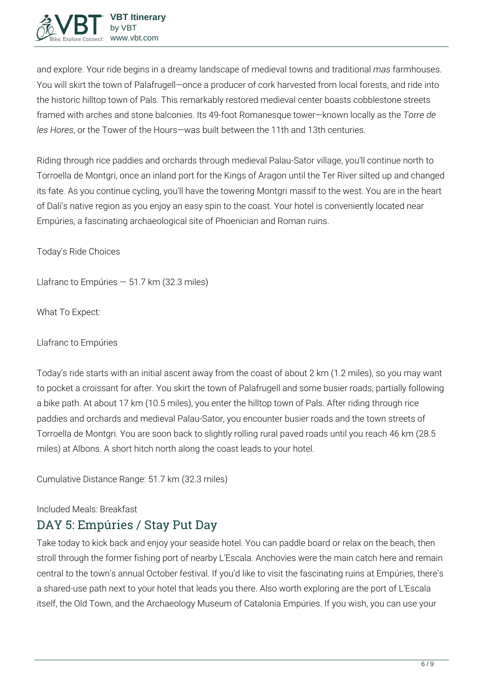

and explore. Your ride begins in a dreamy landscape of medieval towns and traditional *mas* farmhouses. You will skirt the town of Palafrugell—once a producer of cork harvested from local forests, and ride into the historic hilltop town of Pals. This remarkably restored medieval center boasts cobblestone streets framed with arches and stone balconies. Its 49-foot Romanesque tower—known locally as the *Torre de les Hores*, or the Tower of the Hours—was built between the 11th and 13th centuries.

Riding through rice paddies and orchards through medieval Palau-Sator village, you'll continue north to Torroella de Montgri, once an inland port for the Kings of Aragon until the Ter River silted up and changed its fate. As you continue cycling, you'll have the towering Montgri massif to the west. You are in the heart of Dali's native region as you enjoy an easy spin to the coast. Your hotel is conveniently located near Empúries, a fascinating archaeological site of Phoenician and Roman ruins.

**Today's Ride Choices**

Llafranc to Empúries  $-51.7$  km (32.3 miles)

**What To Expect:**

**Llafranc to Empúries** 

Today's ride starts with an initial ascent away from the coast of about 2 km (1.2 miles), so you may want to pocket a croissant for after. You skirt the town of Palafrugell and some busier roads, partially following a bike path. At about 17 km (10.5 miles), you enter the hilltop town of Pals. After riding through rice paddies and orchards and medieval Palau-Sator, you encounter busier roads and the town streets of Torroella de Montgri. You are soon back to slightly rolling rural paved roads until you reach 46 km (28.5 miles) at Albons. A short hitch north along the coast leads to your hotel.

**Cumulative Distance Range:** 51.7 km (32.3 miles)

#### **Included Meals:** Breakfast

## **DAY 5: Empúries / Stay Put Day**

Take today to kick back and enjoy your seaside hotel. You can paddle board or relax on the beach, then stroll through the former fishing port of nearby L'Escala. Anchovies were the main catch here and remain central to the town's annual October festival. If you'd like to visit the fascinating ruins at Empúries, there's a shared-use path next to your hotel that leads you there. Also worth exploring are the port of L'Escala itself, the Old Town, and the Archaeology Museum of Catalonia Empúries. If you wish, you can use your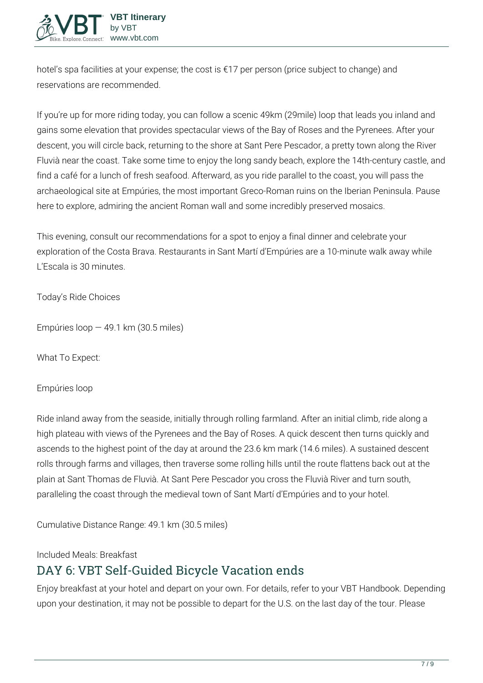hotel's spa facilities at your expense; the cost is €17 per person (price subject to change) and reservations are recommended.

If you're up for more riding today, you can follow a scenic 49km (29mile) loop that leads you inland and gains some elevation that provides spectacular views of the Bay of Roses and the Pyrenees. After your descent, you will circle back, returning to the shore at Sant Pere Pescador, a pretty town along the River Fluvià near the coast. Take some time to enjoy the long sandy beach, explore the 14th-century castle, and find a café for a lunch of fresh seafood. Afterward, as you ride parallel to the coast, you will pass the archaeological site at Empúries, the most important Greco-Roman ruins on the Iberian Peninsula. Pause here to explore, admiring the ancient Roman wall and some incredibly preserved mosaics.

This evening, consult our recommendations for a spot to enjoy a final dinner and celebrate your exploration of the Costa Brava. Restaurants in Sant Martí d'Empúries are a 10-minute walk away while L'Escala is 30 minutes.

**Today's Ride Choices**

Empúries loop  $-49.1$  km (30.5 miles)

**What To Expect:**

**Empúries loop** 

Ride inland away from the seaside, initially through rolling farmland. After an initial climb, ride along a high plateau with views of the Pyrenees and the Bay of Roses. A quick descent then turns quickly and ascends to the highest point of the day at around the 23.6 km mark (14.6 miles). A sustained descent rolls through farms and villages, then traverse some rolling hills until the route flattens back out at the plain at Sant Thomas de Fluvià. At Sant Pere Pescador you cross the Fluvià River and turn south, paralleling the coast through the medieval town of Sant Martí d'Empúries and to your hotel.

**Cumulative Distance Range:** 49.1 km (30.5 miles)

**Included Meals:** Breakfast

# **DAY 6: VBT Self-Guided Bicycle Vacation ends**

Enjoy breakfast at your hotel and depart on your own. For details, refer to your VBT Handbook. Depending upon your destination, it may not be possible to depart for the U.S. on the last day of the tour. Please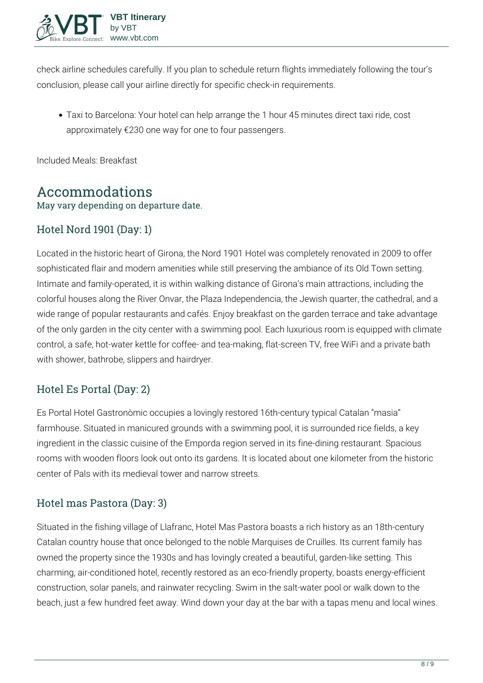

check airline schedules carefully. If you plan to schedule return flights immediately following the tour's conclusion, please call your airline directly for specific check-in requirements.

**Taxi to Barcelona:** Your hotel can help arrange the 1 hour 45 minutes direct taxi ride, cost approximately €230 one way for one to four passengers.

**Included Meals:** Breakfast

# **Accommodations**

May vary depending on departure date.

### Hotel Nord 1901 (Day: 1)

Located in the historic heart of Girona, the Nord 1901 Hotel was completely renovated in 2009 to offer sophisticated flair and modern amenities while still preserving the ambiance of its Old Town setting. Intimate and family-operated, it is within walking distance of Girona's main attractions, including the colorful houses along the River Onvar, the Plaza Independencia, the Jewish quarter, the cathedral, and a wide range of popular restaurants and cafés. Enjoy breakfast on the garden terrace and take advantage of the only garden in the city center with a swimming pool. Each luxurious room is equipped with climate control, a safe, hot-water kettle for coffee- and tea-making, flat-screen TV, free WiFi and a private bath with shower, bathrobe, slippers and hairdryer.

### Hotel Es Portal (Day: 2)

Es Portal Hotel Gastronòmic occupies a lovingly restored 16th-century typical Catalan "masia" farmhouse. Situated in manicured grounds with a swimming pool, it is surrounded rice fields, a key ingredient in the classic cuisine of the Emporda region served in its fine-dining restaurant. Spacious rooms with wooden floors look out onto its gardens. It is located about one kilometer from the historic center of Pals with its medieval tower and narrow streets.

### Hotel mas Pastora (Day: 3)

Situated in the fishing village of Llafranc, Hotel Mas Pastora boasts a rich history as an 18th-century Catalan country house that once belonged to the noble Marquises de Cruilles. Its current family has owned the property since the 1930s and has lovingly created a beautiful, garden-like setting. This charming, air-conditioned hotel, recently restored as an eco-friendly property, boasts energy-efficient construction, solar panels, and rainwater recycling. Swim in the salt-water pool or walk down to the beach, just a few hundred feet away. Wind down your day at the bar with a tapas menu and local wines.